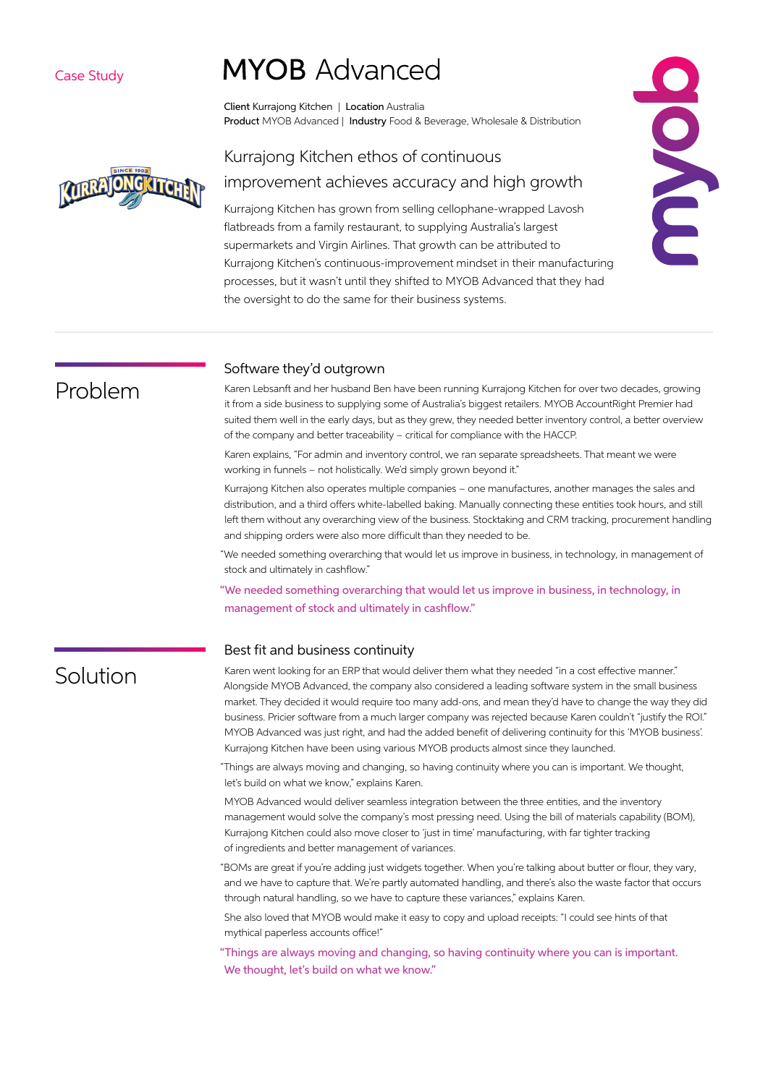#### Case Study

# **MYOB** Advanced

Client Kurrajong Kitchen | Location Australia Product MYOB Advanced | Industry Food & Beverage, Wholesale & Distribution



### Kurrajong Kitchen ethos of continuous improvement achieves accuracy and high growth

Kurrajong Kitchen has grown from selling cellophane-wrapped Lavosh flatbreads from a family restaurant, to supplying Australia's largest supermarkets and Virgin Airlines. That growth can be attributed to Kurrajong Kitchen's continuous-improvement mindset in their manufacturing processes, but it wasn't until they shifted to MYOB Advanced that they had the oversight to do the same for their business systems.

## Problem

#### Software they'd outgrown

Karen Lebsanft and her husband Ben have been running Kurrajong Kitchen for over two decades, growing it from a side business to supplying some of Australia's biggest retailers. MYOB AccountRight Premier had suited them well in the early days, but as they grew, they needed better inventory control, a better overview of the company and better traceability – critical for compliance with the HACCP.

Karen explains, "For admin and inventory control, we ran separate spreadsheets. That meant we were working in funnels – not holistically. We'd simply grown beyond it."

Kurrajong Kitchen also operates multiple companies – one manufactures, another manages the sales and distribution, and a third offers white-labelled baking. Manually connecting these entities took hours, and still left them without any overarching view of the business. Stocktaking and CRM tracking, procurement handling and shipping orders were also more difficult than they needed to be.

"We needed something overarching that would let us improve in business, in technology, in management of stock and ultimately in cashflow."

"We needed something overarching that would let us improve in business, in technology, in management of stock and ultimately in cashflow."

#### Best fit and business continuity

## Solution

Karen went looking for an ERP that would deliver them what they needed "in a cost effective manner." Alongside MYOB Advanced, the company also considered a leading software system in the small business market. They decided it would require too many add-ons, and mean they'd have to change the way they did business. Pricier software from a much larger company was rejected because Karen couldn't "justify the ROI." MYOB Advanced was just right, and had the added benefit of delivering continuity for this 'MYOB business'. Kurrajong Kitchen have been using various MYOB products almost since they launched.

"Things are always moving and changing, so having continuity where you can is important. We thought, let's build on what we know," explains Karen.

MYOB Advanced would deliver seamless integration between the three entities, and the inventory management would solve the company's most pressing need. Using the bill of materials capability (BOM), Kurrajong Kitchen could also move closer to 'just in time' manufacturing, with far tighter tracking of ingredients and better management of variances.

"BOMs are great if you're adding just widgets together. When you're talking about butter or flour, they vary, and we have to capture that. We're partly automated handling, and there's also the waste factor that occurs through natural handling, so we have to capture these variances," explains Karen.

She also loved that MYOB would make it easy to copy and upload receipts: "I could see hints of that mythical paperless accounts office!"

"Things are always moving and changing, so having continuity where you can is important. We thought, let's build on what we know."